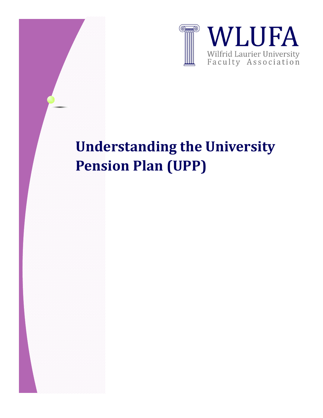

## **Understanding the University Pension Plan (UPP)**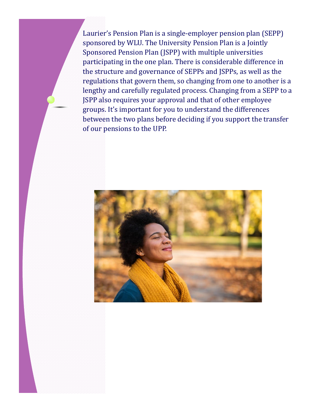Laurier's Pension Plan is a single-employer pension plan (SEPP) sponsored by WLU. The University Pension Plan is a Jointly Sponsored Pension Plan (JSPP) with multiple universities participating in the one plan. There is considerable difference in the structure and governance of SEPPs and JSPPs, as well as the regulations that govern them, so changing from one to another is a lengthy and carefully regulated process. Changing from a SEPP to a JSPP also requires your approval and that of other employee groups. It's important for you to understand the differences between the two plans before deciding if you support the transfer of our pensions to the UPP.

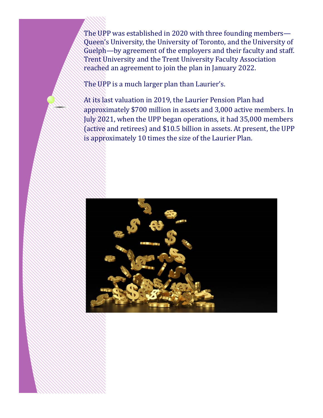The UPP was established in 2020 with three founding members— Queen's University, the University of Toronto, and the University of Guelph—by agreement of the employers and their faculty and staff. Trent University and the Trent University Faculty Association reached an agreement to join the plan in January 2022.

The UPP is a much larger plan than Laurier's.

At its last valuation in 2019, the Laurier Pension Plan had approximately \$700 million in assets and 3,000 active members. In July 2021, when the UPP began operations, it had 35,000 members (active and retirees) and \$10.5 billion in assets. At present, the UPP is approximately 10 times the size of the Laurier Plan.

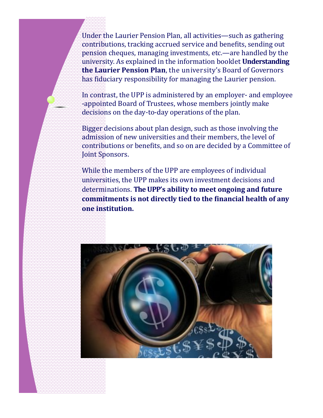Under the Laurier Pension Plan, all activities—such as gathering contributions, tracking accrued service and benefits, sending out pension cheques, managing investments, etc.—are handled by the university. As explained in the information booklet **Understanding the Laurier Pension Plan**, the university's Board of Governors has fiduciary responsibility for managing the Laurier pension.

In contrast, the UPP is administered by an employer- and employee -appointed Board of Trustees, whose members jointly make decisions on the day-to-day operations of the plan.

Bigger decisions about plan design, such as those involving the admission of new universities and their members, the level of contributions or benefits, and so on are decided by a Committee of Joint Sponsors.

While the members of the UPP are employees of individual universities, the UPP makes its own investment decisions and determinations. **The UPP's ability to meet ongoing and future commitments is not directly tied to the financial health of any one institution.**

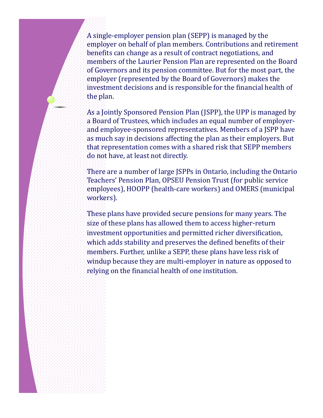A single-employer pension plan (SEPP) is managed by the employer on behalf of plan members. Contributions and retirement benefits can change as a result of contract negotiations, and members of the Laurier Pension Plan are represented on the Board of Governors and its pension committee. But for the most part, the employer (represented by the Board of Governors) makes the investment decisions and is responsible for the financial health of the plan.

As a Jointly Sponsored Pension Plan (JSPP), the UPP is managed by a Board of Trustees, which includes an equal number of employerand employee-sponsored representatives. Members of a JSPP have as much say in decisions affecting the plan as their employers. But that representation comes with a shared risk that SEPP members do not have, at least not directly.

There are a number of large JSPPs in Ontario, including the Ontario Teachers' Pension Plan, OPSEU Pension Trust (for public service employees), HOOPP (health-care workers) and OMERS (municipal workers).

These plans have provided secure pensions for many years. The size of these plans has allowed them to access higher-return investment opportunities and permitted richer diversification, which adds stability and preserves the defined benefits of their members. Further, unlike a SEPP, these plans have less risk of windup because they are multi-employer in nature as opposed to relying on the financial health of one institution.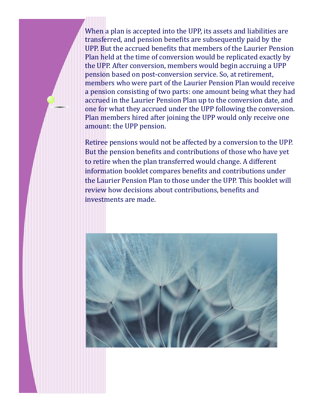When a plan is accepted into the UPP, its assets and liabilities are transferred, and pension benefits are subsequently paid by the UPP. But the accrued benefits that members of the Laurier Pension Plan held at the time of conversion would be replicated exactly by the UPP. After conversion, members would begin accruing a UPP pension based on post-conversion service. So, at retirement, members who were part of the Laurier Pension Plan would receive a pension consisting of two parts: one amount being what they had accrued in the Laurier Pension Plan up to the conversion date, and one for what they accrued under the UPP following the conversion. Plan members hired after joining the UPP would only receive one amount: the UPP pension.

Retiree pensions would not be affected by a conversion to the UPP. But the pension benefits and contributions of those who have yet to retire when the plan transferred would change. A different information booklet compares benefits and contributions under the Laurier Pension Plan to those under the UPP. This booklet will review how decisions about contributions, benefits and investments are made.

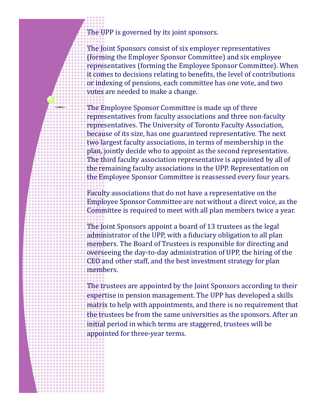The UPP is governed by its joint sponsors.

The Joint Sponsors consist of six employer representatives (forming the Employer Sponsor Committee) and six employee representatives (forming the Employee Sponsor Committee). When it comes to decisions relating to benefits, the level of contributions or indexing of pensions, each committee has one vote, and two votes are needed to make a change.

The Employee Sponsor Committee is made up of three representatives from faculty associations and three non-faculty representatives. The University of Toronto Faculty Association, because of its size, has one guaranteed representative. The next two largest faculty associations, in terms of membership in the plan, jointly decide who to appoint as the second representative. The third faculty association representative is appointed by all of the remaining faculty associations in the UPP. Representation on the Employee Sponsor Committee is reassessed every four years.

Faculty associations that do not have a representative on the Employee Sponsor Committee are not without a direct voice, as the Committee is required to meet with all plan members twice a year.

The Joint Sponsors appoint a board of 13 trustees as the legal administrator of the UPP, with a fiduciary obligation to all plan members. The Board of Trustees is responsible for directing and overseeing the day-to-day administration of UPP, the hiring of the CEO and other staff, and the best investment strategy for plan members.

The trustees are appointed by the Joint Sponsors according to their expertise in pension management. The UPP has developed a skills matrix to help with appointments, and there is no requirement that the trustees be from the same universities as the sponsors. After an initial period in which terms are staggered, trustees will be appointed for three-year terms.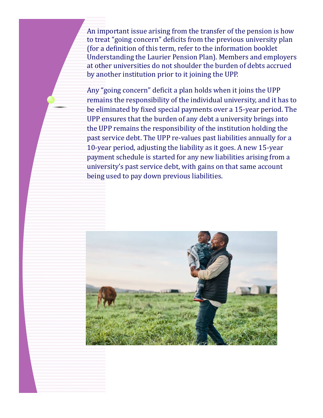An important issue arising from the transfer of the pension is how to treat "going concern" deficits from the previous university plan (for a definition of this term, refer to the information booklet Understanding the Laurier Pension Plan). Members and employers at other universities do not shoulder the burden of debts accrued by another institution prior to it joining the UPP.

Any "going concern" deficit a plan holds when it joins the UPP remains the responsibility of the individual university, and it has to be eliminated by fixed special payments over a 15-year period. The UPP ensures that the burden of any debt a university brings into the UPP remains the responsibility of the institution holding the past service debt. The UPP re-values past liabilities annually for a 10-year period, adjusting the liability as it goes. A new 15-year payment schedule is started for any new liabilities arising from a university's past service debt, with gains on that same account being used to pay down previous liabilities.

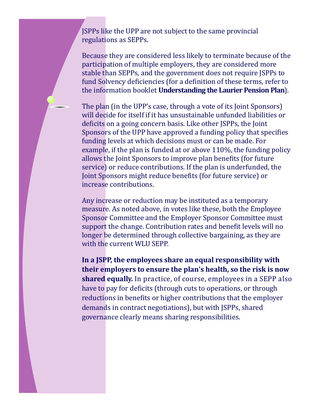JSPPs like the UPP are not subject to the same provincial regulations as SEPPs.

Because they are considered less likely to terminate because of the participation of multiple employers, they are considered more stable than SEPPs, and the government does not require JSPPs to fund Solvency deficiencies (for a definition of these terms, refer to the information booklet **Understanding the Laurier Pension Plan**).

The plan (in the UPP's case, through a vote of its Joint Sponsors) will decide for itself if it has unsustainable unfunded liabilities or deficits on a going concern basis. Like other JSPPs, the Joint Sponsors of the UPP have approved a funding policy that specifies funding levels at which decisions must or can be made. For example, if the plan is funded at or above 110%, the funding policy allows the Joint Sponsors to improve plan benefits (for future service) or reduce contributions. If the plan is underfunded, the Joint Sponsors might reduce benefits (for future service) or increase contributions.

Any increase or reduction may be instituted as a temporary measure. As noted above, in votes like these, both the Employee Sponsor Committee and the Employer Sponsor Committee must support the change. Contribution rates and benefit levels will no longer be determined through collective bargaining, as they are with the current WLU SEPP.

**In a JSPP, the employees share an equal responsibility with their employers to ensure the plan's health, so the risk is now shared equally.** In practice, of course, employees in a SEPP also have to pay for deficits (through cuts to operations, or through reductions in benefits or higher contributions that the employer demands in contract negotiations), but with JSPPs, shared governance clearly means sharing responsibilities.